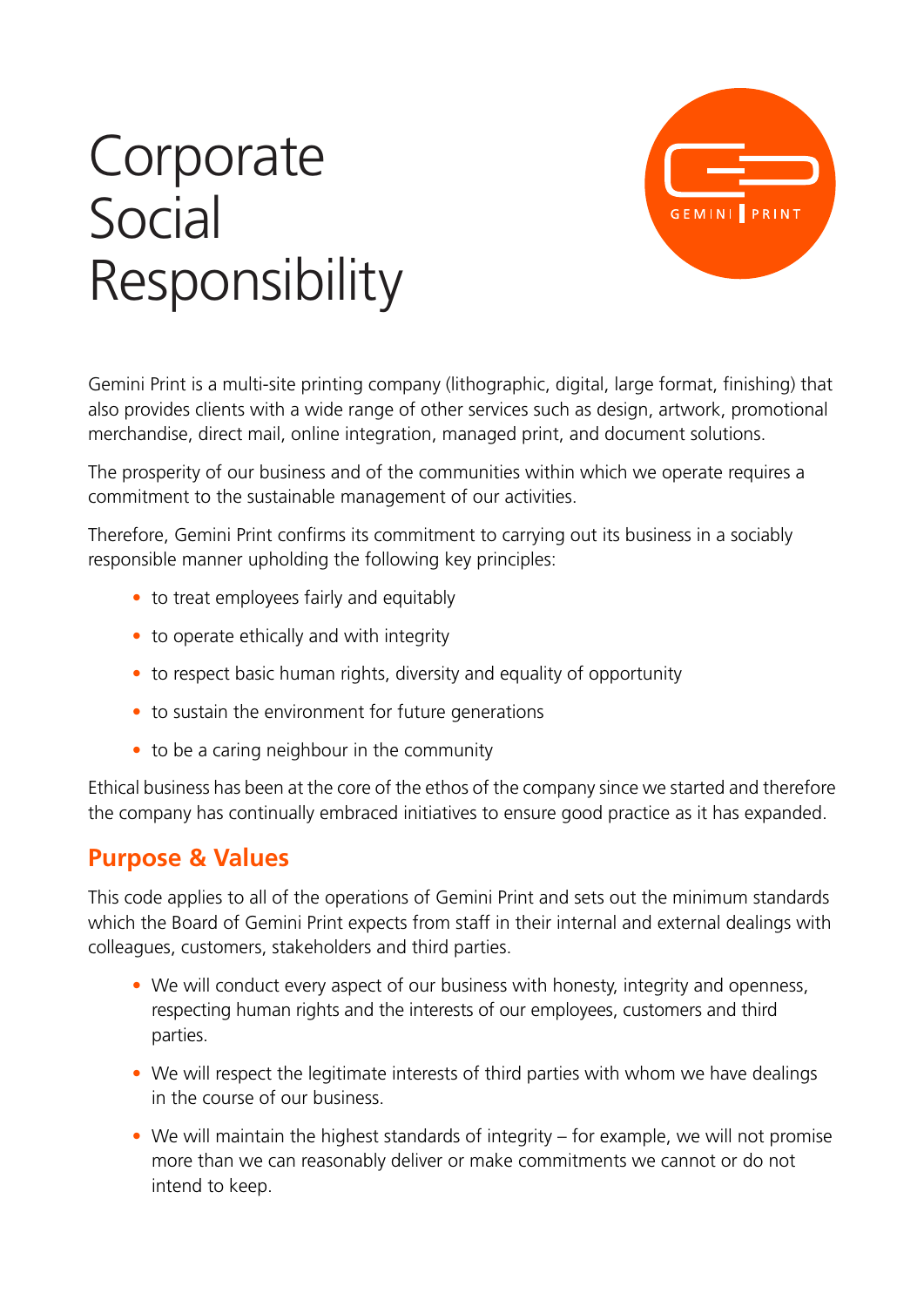# Corporate Social Responsibility



Gemini Print is a multi-site printing company (lithographic, digital, large format, finishing) that also provides clients with a wide range of other services such as design, artwork, promotional merchandise, direct mail, online integration, managed print, and document solutions.

The prosperity of our business and of the communities within which we operate requires a commitment to the sustainable management of our activities.

Therefore, Gemini Print confirms its commitment to carrying out its business in a sociably responsible manner upholding the following key principles:

- to treat employees fairly and equitably
- to operate ethically and with integrity
- to respect basic human rights, diversity and equality of opportunity
- to sustain the environment for future generations
- to be a caring neighbour in the community

Ethical business has been at the core of the ethos of the company since we started and therefore the company has continually embraced initiatives to ensure good practice as it has expanded.

## **Purpose & Values**

This code applies to all of the operations of Gemini Print and sets out the minimum standards which the Board of Gemini Print expects from staff in their internal and external dealings with colleagues, customers, stakeholders and third parties.

- We will conduct every aspect of our business with honesty, integrity and openness, respecting human rights and the interests of our employees, customers and third parties.
- We will respect the legitimate interests of third parties with whom we have dealings in the course of our business.
- We will maintain the highest standards of integrity for example, we will not promise more than we can reasonably deliver or make commitments we cannot or do not intend to keep.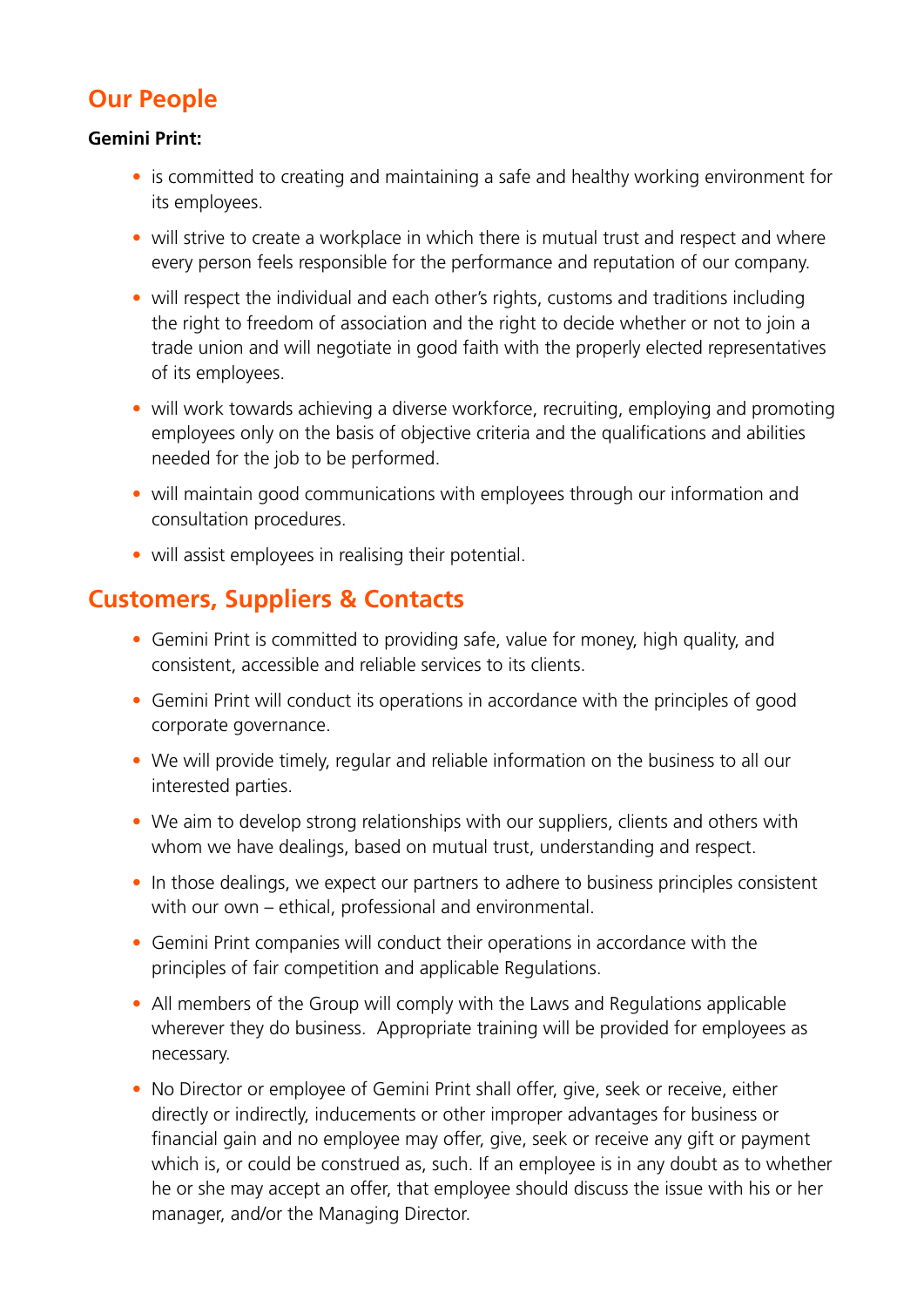# **Our People**

#### **Gemini Print:**

- is committed to creating and maintaining a safe and healthy working environment for its employees.
- will strive to create a workplace in which there is mutual trust and respect and where every person feels responsible for the performance and reputation of our company.
- will respect the individual and each other's rights, customs and traditions including the right to freedom of association and the right to decide whether or not to join a trade union and will negotiate in good faith with the properly elected representatives of its employees.
- will work towards achieving a diverse workforce, recruiting, employing and promoting employees only on the basis of objective criteria and the qualifications and abilities needed for the job to be performed.
- will maintain good communications with employees through our information and consultation procedures.
- will assist employees in realising their potential.

# **Customers, Suppliers & Contacts**

- Gemini Print is committed to providing safe, value for money, high quality, and consistent, accessible and reliable services to its clients.
- Gemini Print will conduct its operations in accordance with the principles of good corporate governance.
- We will provide timely, regular and reliable information on the business to all our interested parties.
- We aim to develop strong relationships with our suppliers, clients and others with whom we have dealings, based on mutual trust, understanding and respect.
- In those dealings, we expect our partners to adhere to business principles consistent with our own – ethical, professional and environmental.
- Gemini Print companies will conduct their operations in accordance with the principles of fair competition and applicable Regulations.
- All members of the Group will comply with the Laws and Regulations applicable wherever they do business. Appropriate training will be provided for employees as necessary.
- No Director or employee of Gemini Print shall offer, give, seek or receive, either directly or indirectly, inducements or other improper advantages for business or financial gain and no employee may offer, give, seek or receive any gift or payment which is, or could be construed as, such. If an employee is in any doubt as to whether he or she may accept an offer, that employee should discuss the issue with his or her manager, and/or the Managing Director.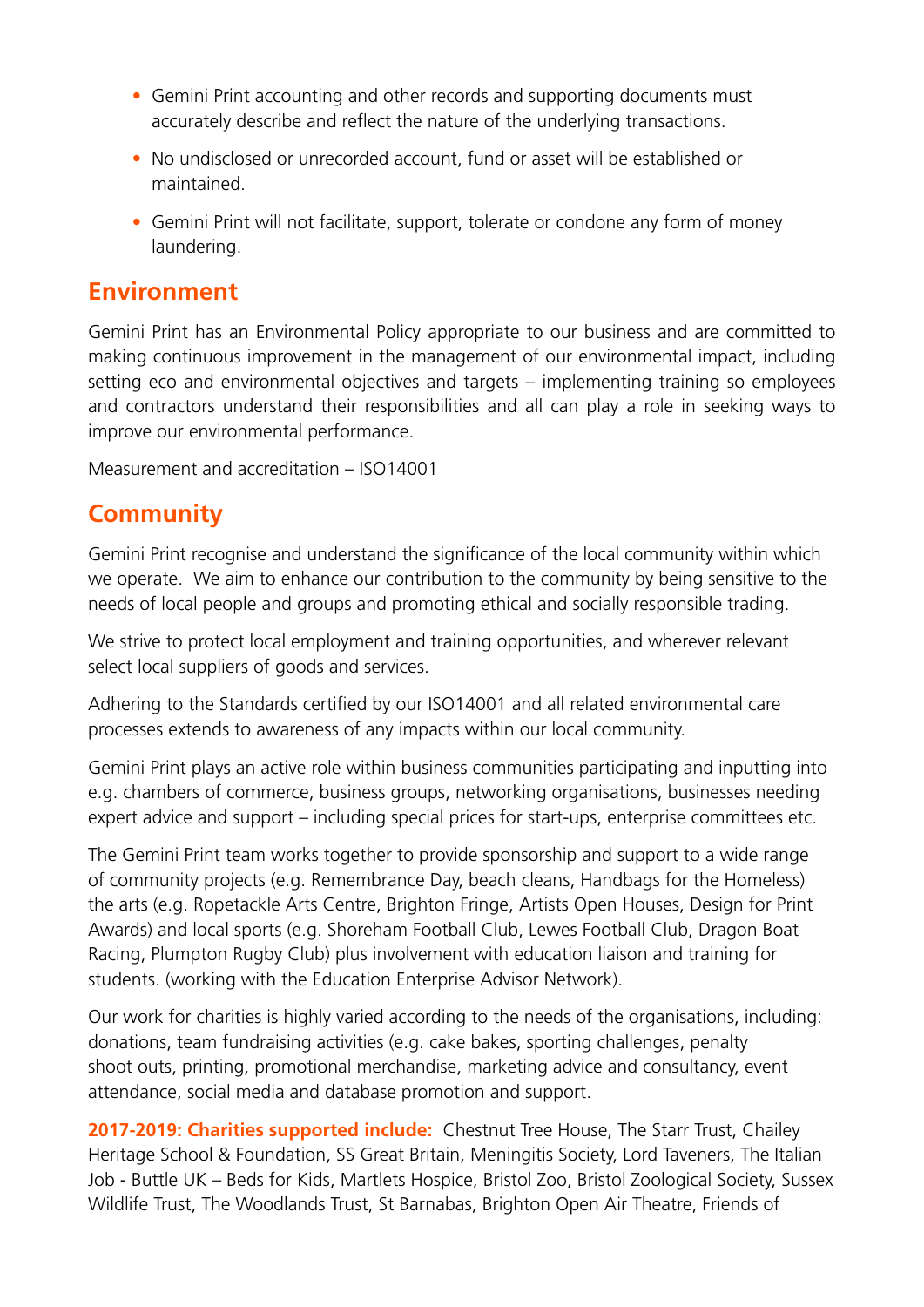- Gemini Print accounting and other records and supporting documents must accurately describe and reflect the nature of the underlying transactions.
- No undisclosed or unrecorded account, fund or asset will be established or maintained.
- Gemini Print will not facilitate, support, tolerate or condone any form of money laundering.

### **Environment**

Gemini Print has an Environmental Policy appropriate to our business and are committed to making continuous improvement in the management of our environmental impact, including setting eco and environmental objectives and targets – implementing training so employees and contractors understand their responsibilities and all can play a role in seeking ways to improve our environmental performance.

Measurement and accreditation – ISO14001

## **Community**

Gemini Print recognise and understand the significance of the local community within which we operate. We aim to enhance our contribution to the community by being sensitive to the needs of local people and groups and promoting ethical and socially responsible trading.

We strive to protect local employment and training opportunities, and wherever relevant select local suppliers of goods and services.

Adhering to the Standards certified by our ISO14001 and all related environmental care processes extends to awareness of any impacts within our local community.

Gemini Print plays an active role within business communities participating and inputting into e.g. chambers of commerce, business groups, networking organisations, businesses needing expert advice and support – including special prices for start-ups, enterprise committees etc.

The Gemini Print team works together to provide sponsorship and support to a wide range of community projects (e.g. Remembrance Day, beach cleans, Handbags for the Homeless) the arts (e.g. Ropetackle Arts Centre, Brighton Fringe, Artists Open Houses, Design for Print Awards) and local sports (e.g. Shoreham Football Club, Lewes Football Club, Dragon Boat Racing, Plumpton Rugby Club) plus involvement with education liaison and training for students. (working with the Education Enterprise Advisor Network).

Our work for charities is highly varied according to the needs of the organisations, including: donations, team fundraising activities (e.g. cake bakes, sporting challenges, penalty shoot outs, printing, promotional merchandise, marketing advice and consultancy, event attendance, social media and database promotion and support.

**2017-2019: Charities supported include:** Chestnut Tree House, The Starr Trust, Chailey Heritage School & Foundation, SS Great Britain, Meningitis Society, Lord Taveners, The Italian Job - Buttle UK – Beds for Kids, Martlets Hospice, Bristol Zoo, Bristol Zoological Society, Sussex Wildlife Trust, The Woodlands Trust, St Barnabas, Brighton Open Air Theatre, Friends of